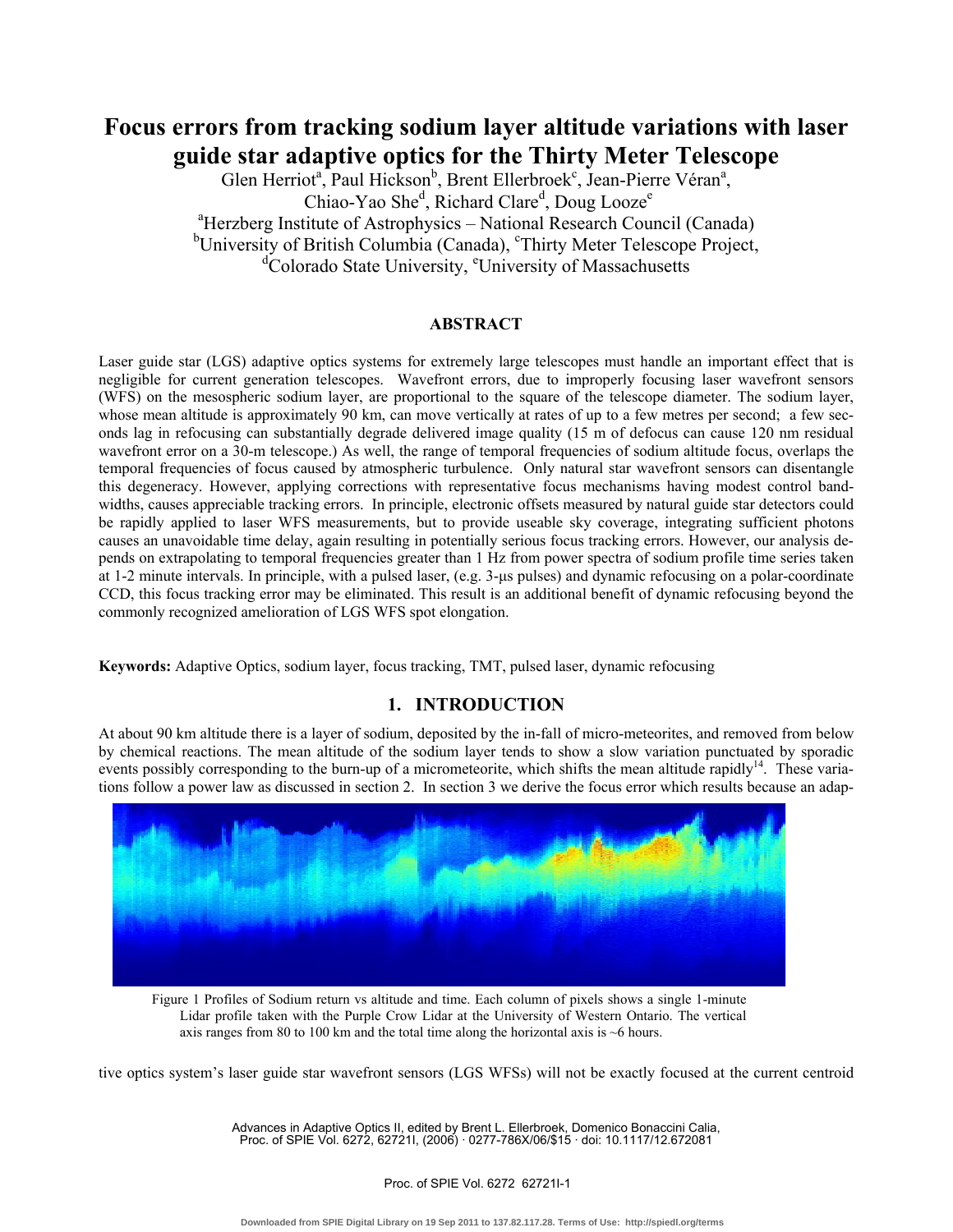# **Focus errors from tracking sodium layer altitude variations with laser guide star adaptive optics for the Thirty Meter Telescope**

Glen Herriot<sup>a</sup>, Paul Hickson<sup>b</sup>, Brent Ellerbroek<sup>c</sup>, Jean-Pierre Véran<sup>a</sup>, Chiao-Yao She<sup>d</sup>, Richard Clare<sup>d</sup>, Doug Looze<sup>e</sup> <sup>a</sup>Herzberg Institute of Astrophysics - National Research Council (Canada) <sup>b</sup>University of British Columbia (Canada), <sup>c</sup>Thirty Meter Telescope Project, <sup>d</sup>Colorado State University, <sup>e</sup>University of Massachusetts

### **ABSTRACT**

Laser guide star (LGS) adaptive optics systems for extremely large telescopes must handle an important effect that is negligible for current generation telescopes. Wavefront errors, due to improperly focusing laser wavefront sensors (WFS) on the mesospheric sodium layer, are proportional to the square of the telescope diameter. The sodium layer, whose mean altitude is approximately 90 km, can move vertically at rates of up to a few metres per second; a few seconds lag in refocusing can substantially degrade delivered image quality (15 m of defocus can cause 120 nm residual wavefront error on a 30-m telescope.) As well, the range of temporal frequencies of sodium altitude focus, overlaps the temporal frequencies of focus caused by atmospheric turbulence. Only natural star wavefront sensors can disentangle this degeneracy. However, applying corrections with representative focus mechanisms having modest control bandwidths, causes appreciable tracking errors. In principle, electronic offsets measured by natural guide star detectors could be rapidly applied to laser WFS measurements, but to provide useable sky coverage, integrating sufficient photons causes an unavoidable time delay, again resulting in potentially serious focus tracking errors. However, our analysis depends on extrapolating to temporal frequencies greater than 1 Hz from power spectra of sodium profile time series taken at 1-2 minute intervals. In principle, with a pulsed laser, (e.g. 3-us pulses) and dynamic refocusing on a polar-coordinate CCD, this focus tracking error may be eliminated. This result is an additional benefit of dynamic refocusing beyond the commonly recognized amelioration of LGS WFS spot elongation.

**Keywords:** Adaptive Optics, sodium layer, focus tracking, TMT, pulsed laser, dynamic refocusing

# **1. INTRODUCTION**

At about 90 km altitude there is a layer of sodium, deposited by the in-fall of micro-meteorites, and removed from below by chemical reactions. The mean altitude of the sodium layer tends to show a slow variation punctuated by sporadic events possibly corresponding to the burn-up of a micrometeorite, which shifts the mean altitude rapidly<sup>14</sup>. These variations follow a power law as discussed in section 2. In section 3 we derive the focus error which results because an adap-



Figure 1 Profiles of Sodium return vs altitude and time. Each column of pixels shows a single 1-minute Lidar profile taken with the Purple Crow Lidar at the University of Western Ontario. The vertical axis ranges from 80 to 100 km and the total time along the horizontal axis is ~6 hours.

tive optics system's laser guide star wavefront sensors (LGS WFSs) will not be exactly focused at the current centroid

Advances in Adaptive Optics II, edited by Brent L. Ellerbroek, Domenico Bonaccini Calia, Proc. of SPIE Vol. 6272, 62721I, (2006) · 0277-786X/06/\$15 · doi: 10.1117/12.672081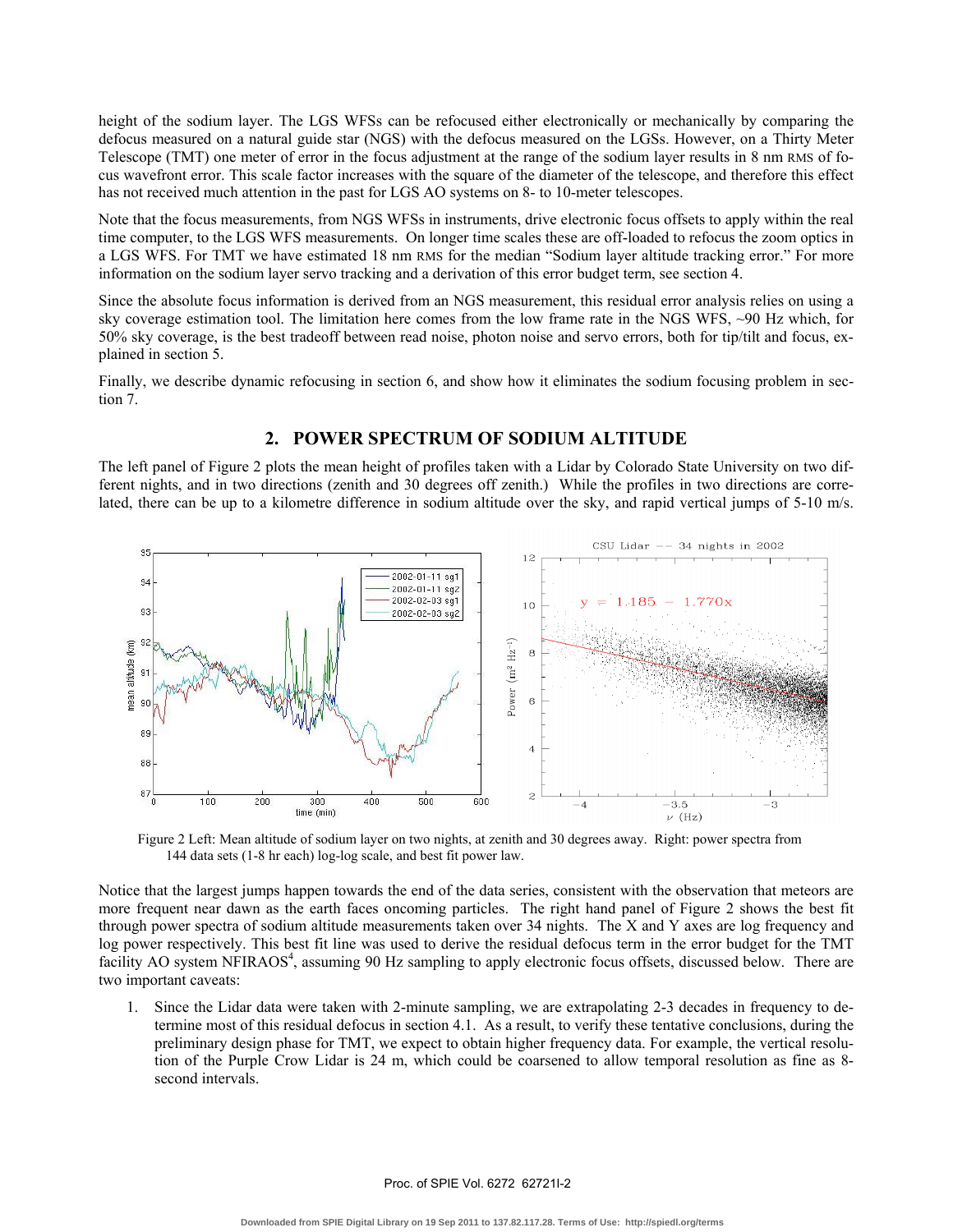height of the sodium layer. The LGS WFSs can be refocused either electronically or mechanically by comparing the defocus measured on a natural guide star (NGS) with the defocus measured on the LGSs. However, on a Thirty Meter Telescope (TMT) one meter of error in the focus adjustment at the range of the sodium layer results in 8 nm RMS of focus wavefront error. This scale factor increases with the square of the diameter of the telescope, and therefore this effect has not received much attention in the past for LGS AO systems on 8- to 10-meter telescopes.

Note that the focus measurements, from NGS WFSs in instruments, drive electronic focus offsets to apply within the real time computer, to the LGS WFS measurements. On longer time scales these are off-loaded to refocus the zoom optics in a LGS WFS. For TMT we have estimated 18 nm RMS for the median "Sodium layer altitude tracking error." For more information on the sodium layer servo tracking and a derivation of this error budget term, see section 4.

Since the absolute focus information is derived from an NGS measurement, this residual error analysis relies on using a sky coverage estimation tool. The limitation here comes from the low frame rate in the NGS WFS, ~90 Hz which, for 50% sky coverage, is the best tradeoff between read noise, photon noise and servo errors, both for tip/tilt and focus, explained in section 5.

Finally, we describe dynamic refocusing in section 6, and show how it eliminates the sodium focusing problem in section 7.

# **2. POWER SPECTRUM OF SODIUM ALTITUDE**

The left panel of Figure 2 plots the mean height of profiles taken with a Lidar by Colorado State University on two different nights, and in two directions (zenith and 30 degrees off zenith.) While the profiles in two directions are correlated, there can be up to a kilometre difference in sodium altitude over the sky, and rapid vertical jumps of 5-10 m/s.



Figure 2 Left: Mean altitude of sodium layer on two nights, at zenith and 30 degrees away. Right: power spectra from 144 data sets (1-8 hr each) log-log scale, and best fit power law.

Notice that the largest jumps happen towards the end of the data series, consistent with the observation that meteors are more frequent near dawn as the earth faces oncoming particles. The right hand panel of Figure 2 shows the best fit through power spectra of sodium altitude measurements taken over 34 nights. The X and Y axes are log frequency and log power respectively. This best fit line was used to derive the residual defocus term in the error budget for the TMT facility AO system NFIRAOS<sup>4</sup>, assuming 90 Hz sampling to apply electronic focus offsets, discussed below. There are two important caveats:

1. Since the Lidar data were taken with 2-minute sampling, we are extrapolating 2-3 decades in frequency to determine most of this residual defocus in section 4.1. As a result, to verify these tentative conclusions, during the preliminary design phase for TMT, we expect to obtain higher frequency data. For example, the vertical resolution of the Purple Crow Lidar is 24 m, which could be coarsened to allow temporal resolution as fine as 8 second intervals.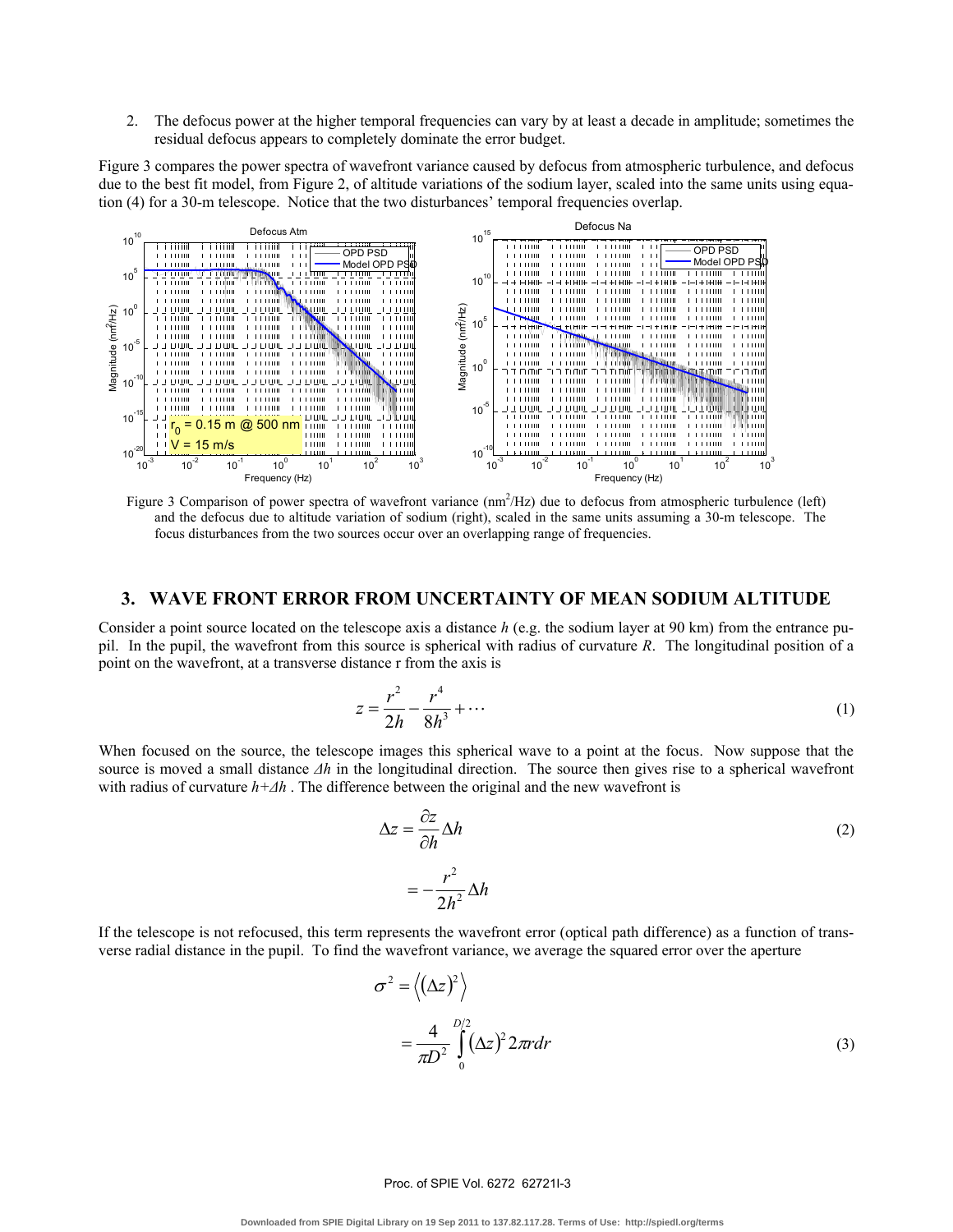2. The defocus power at the higher temporal frequencies can vary by at least a decade in amplitude; sometimes the residual defocus appears to completely dominate the error budget.

Figure 3 compares the power spectra of wavefront variance caused by defocus from atmospheric turbulence, and defocus due to the best fit model, from Figure 2, of altitude variations of the sodium layer, scaled into the same units using equation (4) for a 30-m telescope. Notice that the two disturbances' temporal frequencies overlap.



Figure 3 Comparison of power spectra of wavefront variance  $(nm^2/Hz)$  due to defocus from atmospheric turbulence (left) and the defocus due to altitude variation of sodium (right), scaled in the same units assuming a 30-m telescope. The focus disturbances from the two sources occur over an overlapping range of frequencies.

# **3. WAVE FRONT ERROR FROM UNCERTAINTY OF MEAN SODIUM ALTITUDE**

Consider a point source located on the telescope axis a distance *h* (e.g. the sodium layer at 90 km) from the entrance pupil. In the pupil, the wavefront from this source is spherical with radius of curvature *R*. The longitudinal position of a point on the wavefront, at a transverse distance r from the axis is

$$
z = \frac{r^2}{2h} - \frac{r^4}{8h^3} + \dotsb \tag{1}
$$

When focused on the source, the telescope images this spherical wave to a point at the focus. Now suppose that the source is moved a small distance  $\Delta h$  in the longitudinal direction. The source then gives rise to a spherical wavefront with radius of curvature *h+∆h* . The difference between the original and the new wavefront is

$$
\Delta z = \frac{\partial z}{\partial h} \Delta h
$$
  
=  $-\frac{r^2}{2h^2} \Delta h$  (2)

If the telescope is not refocused, this term represents the wavefront error (optical path difference) as a function of transverse radial distance in the pupil. To find the wavefront variance, we average the squared error over the aperture

$$
\sigma^2 = \left\langle (\Delta z)^2 \right\rangle
$$
  
=  $\frac{4}{\pi D^2} \int_0^{D/2} (\Delta z)^2 2\pi r dr$  (3)

#### Proc. of SPIE Vol. 6272 62721I-3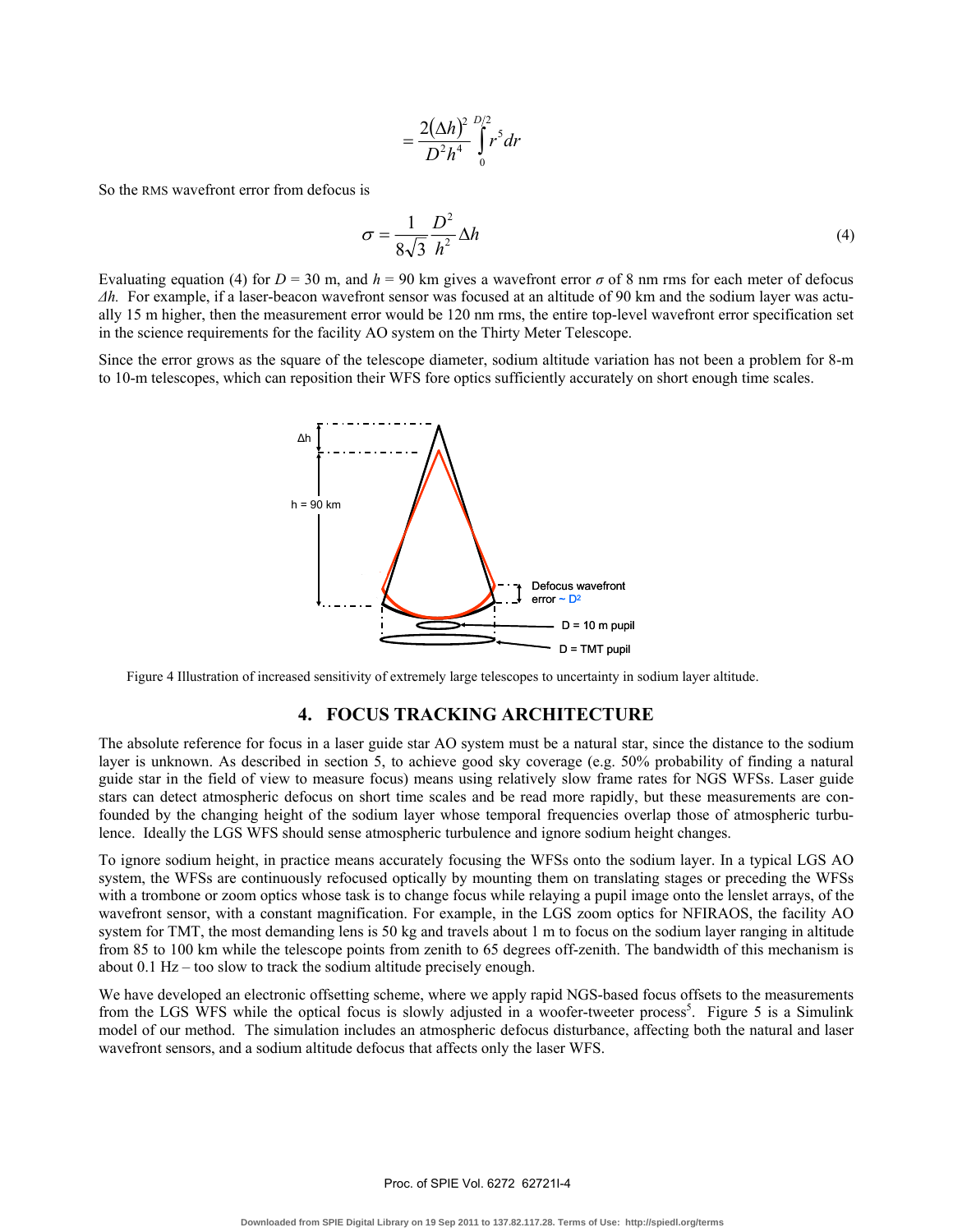$$
=\frac{2(\Delta h)^2}{D^2h^4}\int\limits_{0}^{D/2}r^5dr
$$

So the RMS wavefront error from defocus is

$$
\sigma = \frac{1}{8\sqrt{3}} \frac{D^2}{h^2} \Delta h \tag{4}
$$

Evaluating equation (4) for  $D = 30$  m, and  $h = 90$  km gives a wavefront error  $\sigma$  of 8 nm rms for each meter of defocus *∆h.* For example, if a laser-beacon wavefront sensor was focused at an altitude of 90 km and the sodium layer was actually 15 m higher, then the measurement error would be 120 nm rms, the entire top-level wavefront error specification set in the science requirements for the facility AO system on the Thirty Meter Telescope.

Since the error grows as the square of the telescope diameter, sodium altitude variation has not been a problem for 8-m to 10-m telescopes, which can reposition their WFS fore optics sufficiently accurately on short enough time scales.



Figure 4 Illustration of increased sensitivity of extremely large telescopes to uncertainty in sodium layer altitude.

#### **4. FOCUS TRACKING ARCHITECTURE**

The absolute reference for focus in a laser guide star AO system must be a natural star, since the distance to the sodium layer is unknown. As described in section 5, to achieve good sky coverage (e.g. 50% probability of finding a natural guide star in the field of view to measure focus) means using relatively slow frame rates for NGS WFSs. Laser guide stars can detect atmospheric defocus on short time scales and be read more rapidly, but these measurements are confounded by the changing height of the sodium layer whose temporal frequencies overlap those of atmospheric turbulence. Ideally the LGS WFS should sense atmospheric turbulence and ignore sodium height changes.

To ignore sodium height, in practice means accurately focusing the WFSs onto the sodium layer. In a typical LGS AO system, the WFSs are continuously refocused optically by mounting them on translating stages or preceding the WFSs with a trombone or zoom optics whose task is to change focus while relaying a pupil image onto the lenslet arrays, of the wavefront sensor, with a constant magnification. For example, in the LGS zoom optics for NFIRAOS, the facility AO system for TMT, the most demanding lens is 50 kg and travels about 1 m to focus on the sodium layer ranging in altitude from 85 to 100 km while the telescope points from zenith to 65 degrees off-zenith. The bandwidth of this mechanism is about 0.1 Hz – too slow to track the sodium altitude precisely enough.

We have developed an electronic offsetting scheme, where we apply rapid NGS-based focus offsets to the measurements from the LGS WFS while the optical focus is slowly adjusted in a woofer-tweeter process<sup>5</sup>. Figure 5 is a Simulink model of our method. The simulation includes an atmospheric defocus disturbance, affecting both the natural and laser wavefront sensors, and a sodium altitude defocus that affects only the laser WFS.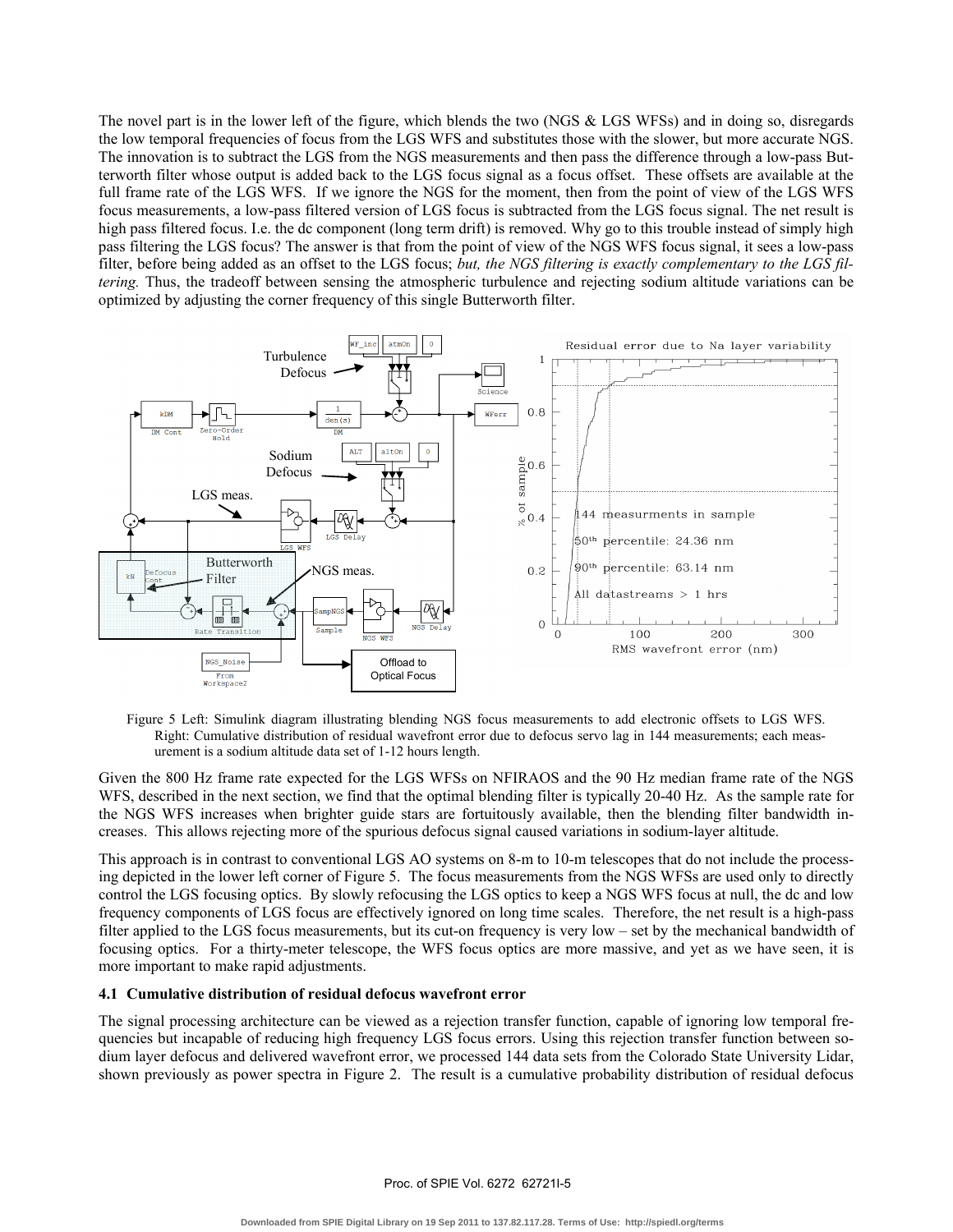The novel part is in the lower left of the figure, which blends the two (NGS & LGS WFSs) and in doing so, disregards the low temporal frequencies of focus from the LGS WFS and substitutes those with the slower, but more accurate NGS. The innovation is to subtract the LGS from the NGS measurements and then pass the difference through a low-pass Butterworth filter whose output is added back to the LGS focus signal as a focus offset. These offsets are available at the full frame rate of the LGS WFS. If we ignore the NGS for the moment, then from the point of view of the LGS WFS focus measurements, a low-pass filtered version of LGS focus is subtracted from the LGS focus signal. The net result is high pass filtered focus. I.e. the dc component (long term drift) is removed. Why go to this trouble instead of simply high pass filtering the LGS focus? The answer is that from the point of view of the NGS WFS focus signal, it sees a low-pass filter, before being added as an offset to the LGS focus; *but, the NGS filtering is exactly complementary to the LGS filtering.* Thus, the tradeoff between sensing the atmospheric turbulence and rejecting sodium altitude variations can be optimized by adjusting the corner frequency of this single Butterworth filter.



Figure 5 Left: Simulink diagram illustrating blending NGS focus measurements to add electronic offsets to LGS WFS. Right: Cumulative distribution of residual wavefront error due to defocus servo lag in 144 measurements; each measurement is a sodium altitude data set of 1-12 hours length.

Given the 800 Hz frame rate expected for the LGS WFSs on NFIRAOS and the 90 Hz median frame rate of the NGS WFS, described in the next section, we find that the optimal blending filter is typically 20-40 Hz. As the sample rate for the NGS WFS increases when brighter guide stars are fortuitously available, then the blending filter bandwidth increases. This allows rejecting more of the spurious defocus signal caused variations in sodium-layer altitude.

This approach is in contrast to conventional LGS AO systems on 8-m to 10-m telescopes that do not include the processing depicted in the lower left corner of Figure 5. The focus measurements from the NGS WFSs are used only to directly control the LGS focusing optics. By slowly refocusing the LGS optics to keep a NGS WFS focus at null, the dc and low frequency components of LGS focus are effectively ignored on long time scales. Therefore, the net result is a high-pass filter applied to the LGS focus measurements, but its cut-on frequency is very low – set by the mechanical bandwidth of focusing optics. For a thirty-meter telescope, the WFS focus optics are more massive, and yet as we have seen, it is more important to make rapid adjustments.

#### **4.1 Cumulative distribution of residual defocus wavefront error**

The signal processing architecture can be viewed as a rejection transfer function, capable of ignoring low temporal frequencies but incapable of reducing high frequency LGS focus errors. Using this rejection transfer function between sodium layer defocus and delivered wavefront error, we processed 144 data sets from the Colorado State University Lidar, shown previously as power spectra in Figure 2. The result is a cumulative probability distribution of residual defocus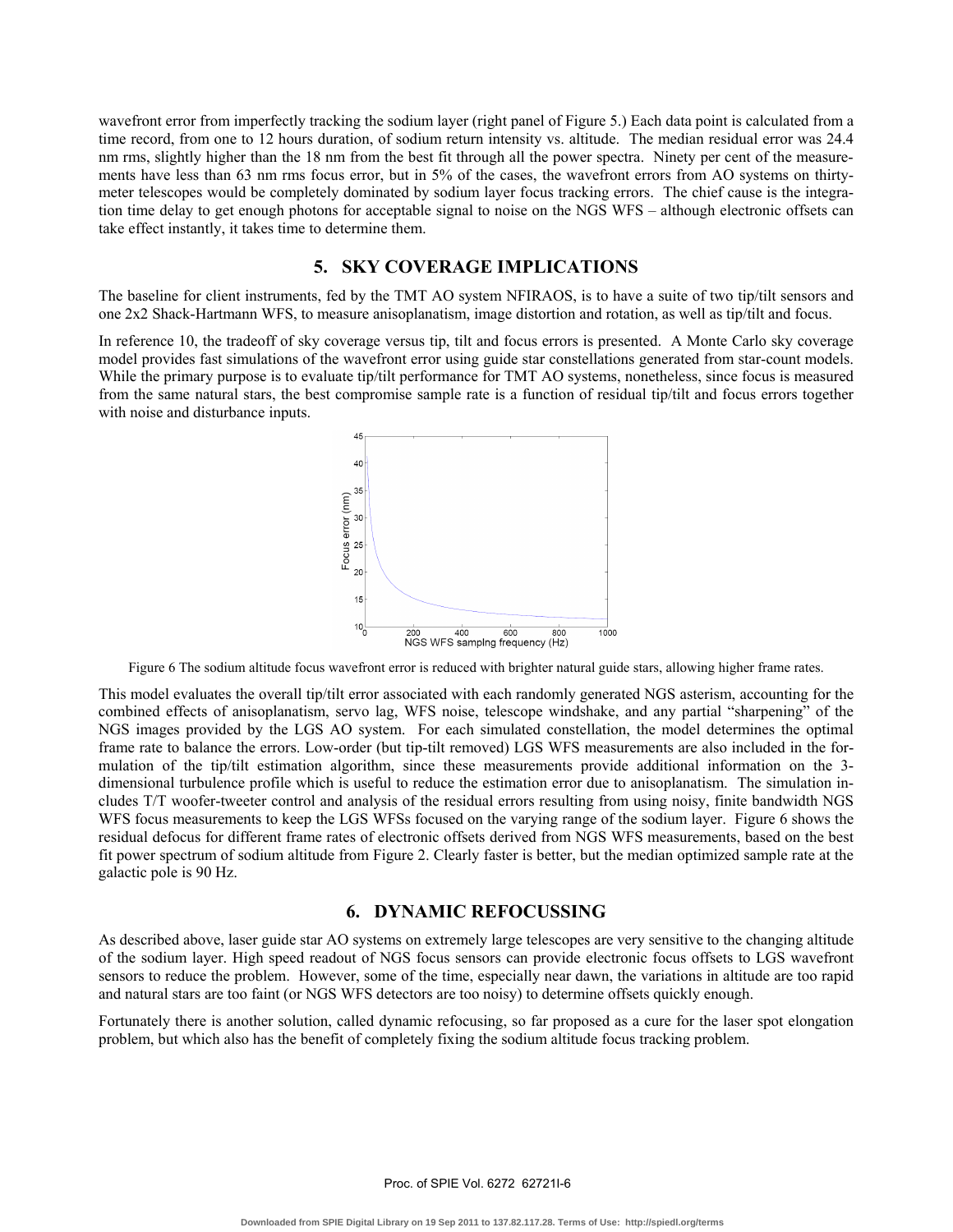wavefront error from imperfectly tracking the sodium layer (right panel of Figure 5.) Each data point is calculated from a time record, from one to 12 hours duration, of sodium return intensity vs. altitude. The median residual error was 24.4 nm rms, slightly higher than the 18 nm from the best fit through all the power spectra. Ninety per cent of the measurements have less than 63 nm rms focus error, but in 5% of the cases, the wavefront errors from AO systems on thirtymeter telescopes would be completely dominated by sodium layer focus tracking errors. The chief cause is the integration time delay to get enough photons for acceptable signal to noise on the NGS WFS – although electronic offsets can take effect instantly, it takes time to determine them.

# **5. SKY COVERAGE IMPLICATIONS**

The baseline for client instruments, fed by the TMT AO system NFIRAOS, is to have a suite of two tip/tilt sensors and one 2x2 Shack-Hartmann WFS, to measure anisoplanatism, image distortion and rotation, as well as tip/tilt and focus.

In reference 10, the tradeoff of sky coverage versus tip, tilt and focus errors is presented. A Monte Carlo sky coverage model provides fast simulations of the wavefront error using guide star constellations generated from star-count models. While the primary purpose is to evaluate tip/tilt performance for TMT AO systems, nonetheless, since focus is measured from the same natural stars, the best compromise sample rate is a function of residual tip/tilt and focus errors together with noise and disturbance inputs.



Figure 6 The sodium altitude focus wavefront error is reduced with brighter natural guide stars, allowing higher frame rates.

This model evaluates the overall tip/tilt error associated with each randomly generated NGS asterism, accounting for the combined effects of anisoplanatism, servo lag, WFS noise, telescope windshake, and any partial "sharpening" of the NGS images provided by the LGS AO system. For each simulated constellation, the model determines the optimal frame rate to balance the errors. Low-order (but tip-tilt removed) LGS WFS measurements are also included in the formulation of the tip/tilt estimation algorithm, since these measurements provide additional information on the 3 dimensional turbulence profile which is useful to reduce the estimation error due to anisoplanatism. The simulation includes T/T woofer-tweeter control and analysis of the residual errors resulting from using noisy, finite bandwidth NGS WFS focus measurements to keep the LGS WFSs focused on the varying range of the sodium layer. Figure 6 shows the residual defocus for different frame rates of electronic offsets derived from NGS WFS measurements, based on the best fit power spectrum of sodium altitude from Figure 2. Clearly faster is better, but the median optimized sample rate at the galactic pole is 90 Hz.

# **6. DYNAMIC REFOCUSSING**

As described above, laser guide star AO systems on extremely large telescopes are very sensitive to the changing altitude of the sodium layer. High speed readout of NGS focus sensors can provide electronic focus offsets to LGS wavefront sensors to reduce the problem. However, some of the time, especially near dawn, the variations in altitude are too rapid and natural stars are too faint (or NGS WFS detectors are too noisy) to determine offsets quickly enough.

Fortunately there is another solution, called dynamic refocusing, so far proposed as a cure for the laser spot elongation problem, but which also has the benefit of completely fixing the sodium altitude focus tracking problem.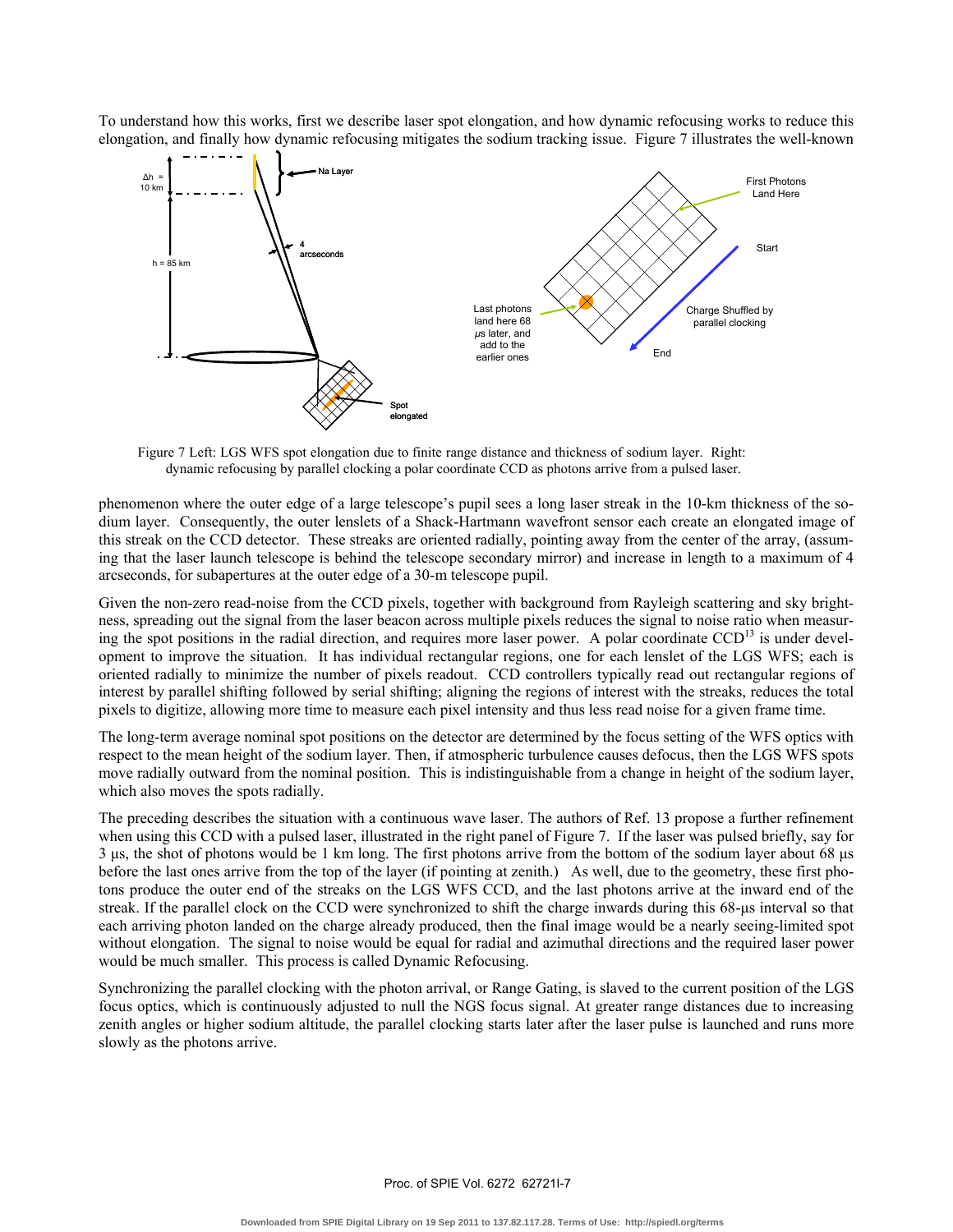To understand how this works, first we describe laser spot elongation, and how dynamic refocusing works to reduce this elongation, and finally how dynamic refocusing mitigates the sodium tracking issue. Figure 7 illustrates the well-known



Figure 7 Left: LGS WFS spot elongation due to finite range distance and thickness of sodium layer. Right: dynamic refocusing by parallel clocking a polar coordinate CCD as photons arrive from a pulsed laser.

phenomenon where the outer edge of a large telescope's pupil sees a long laser streak in the 10-km thickness of the sodium layer. Consequently, the outer lenslets of a Shack-Hartmann wavefront sensor each create an elongated image of this streak on the CCD detector. These streaks are oriented radially, pointing away from the center of the array, (assuming that the laser launch telescope is behind the telescope secondary mirror) and increase in length to a maximum of 4 arcseconds, for subapertures at the outer edge of a 30-m telescope pupil.

Given the non-zero read-noise from the CCD pixels, together with background from Rayleigh scattering and sky brightness, spreading out the signal from the laser beacon across multiple pixels reduces the signal to noise ratio when measuring the spot positions in the radial direction, and requires more laser power. A polar coordinate  $CCD<sup>13</sup>$  is under development to improve the situation. It has individual rectangular regions, one for each lenslet of the LGS WFS; each is oriented radially to minimize the number of pixels readout. CCD controllers typically read out rectangular regions of interest by parallel shifting followed by serial shifting; aligning the regions of interest with the streaks, reduces the total pixels to digitize, allowing more time to measure each pixel intensity and thus less read noise for a given frame time.

The long-term average nominal spot positions on the detector are determined by the focus setting of the WFS optics with respect to the mean height of the sodium layer. Then, if atmospheric turbulence causes defocus, then the LGS WFS spots move radially outward from the nominal position. This is indistinguishable from a change in height of the sodium layer, which also moves the spots radially.

The preceding describes the situation with a continuous wave laser. The authors of Ref. 13 propose a further refinement when using this CCD with a pulsed laser, illustrated in the right panel of Figure 7. If the laser was pulsed briefly, say for 3 µs, the shot of photons would be 1 km long. The first photons arrive from the bottom of the sodium layer about 68 µs before the last ones arrive from the top of the layer (if pointing at zenith.) As well, due to the geometry, these first photons produce the outer end of the streaks on the LGS WFS CCD, and the last photons arrive at the inward end of the streak. If the parallel clock on the CCD were synchronized to shift the charge inwards during this 68-us interval so that each arriving photon landed on the charge already produced, then the final image would be a nearly seeing-limited spot without elongation. The signal to noise would be equal for radial and azimuthal directions and the required laser power would be much smaller. This process is called Dynamic Refocusing.

Synchronizing the parallel clocking with the photon arrival, or Range Gating, is slaved to the current position of the LGS focus optics, which is continuously adjusted to null the NGS focus signal. At greater range distances due to increasing zenith angles or higher sodium altitude, the parallel clocking starts later after the laser pulse is launched and runs more slowly as the photons arrive.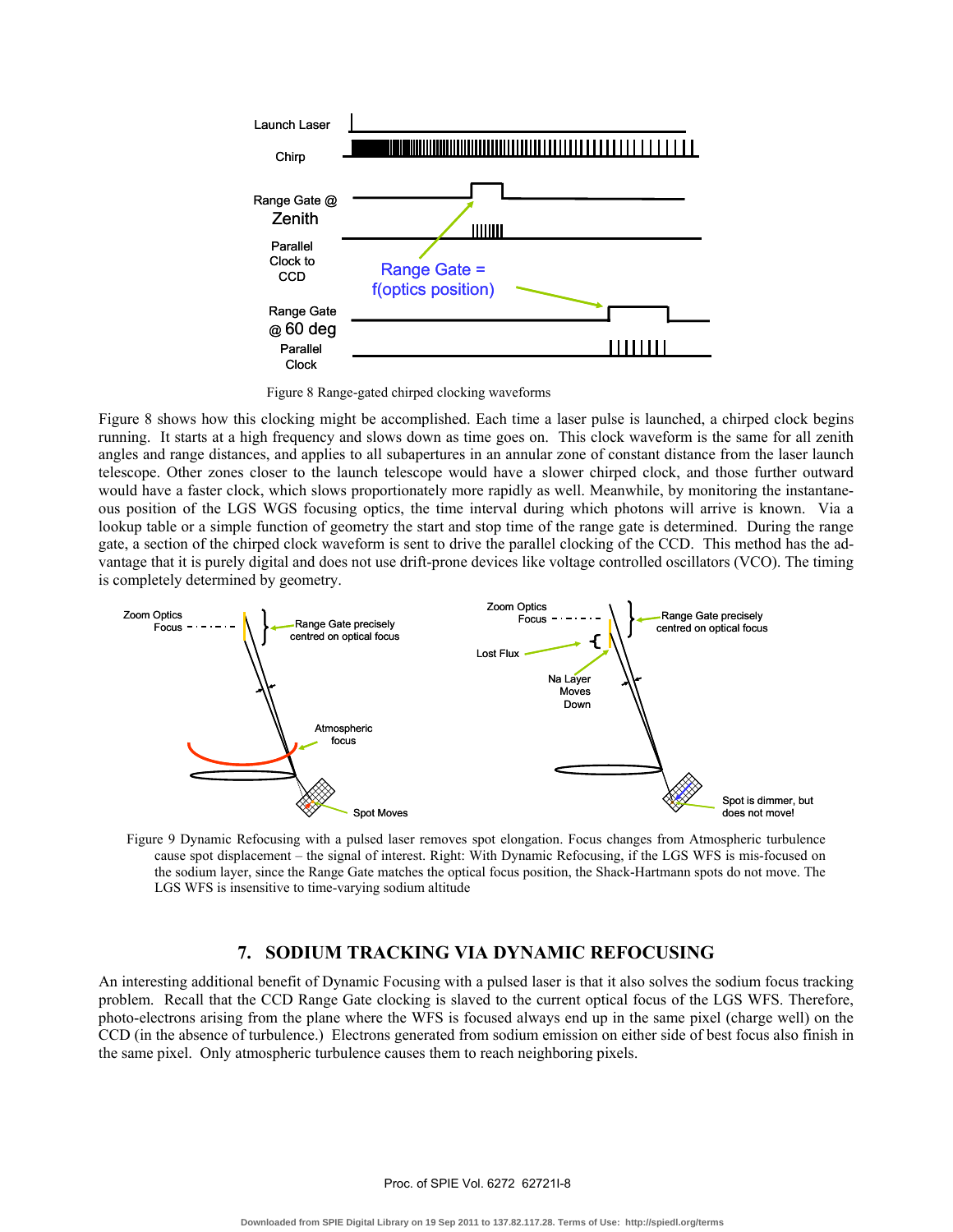

Figure 8 Range-gated chirped clocking waveforms

Figure 8 shows how this clocking might be accomplished. Each time a laser pulse is launched, a chirped clock begins running. It starts at a high frequency and slows down as time goes on. This clock waveform is the same for all zenith angles and range distances, and applies to all subapertures in an annular zone of constant distance from the laser launch telescope. Other zones closer to the launch telescope would have a slower chirped clock, and those further outward would have a faster clock, which slows proportionately more rapidly as well. Meanwhile, by monitoring the instantaneous position of the LGS WGS focusing optics, the time interval during which photons will arrive is known. Via a lookup table or a simple function of geometry the start and stop time of the range gate is determined. During the range gate, a section of the chirped clock waveform is sent to drive the parallel clocking of the CCD. This method has the advantage that it is purely digital and does not use drift-prone devices like voltage controlled oscillators (VCO). The timing is completely determined by geometry.



Figure 9 Dynamic Refocusing with a pulsed laser removes spot elongation. Focus changes from Atmospheric turbulence cause spot displacement – the signal of interest. Right: With Dynamic Refocusing, if the LGS WFS is mis-focused on the sodium layer, since the Range Gate matches the optical focus position, the Shack-Hartmann spots do not move. The LGS WFS is insensitive to time-varying sodium altitude

# **7. SODIUM TRACKING VIA DYNAMIC REFOCUSING**

An interesting additional benefit of Dynamic Focusing with a pulsed laser is that it also solves the sodium focus tracking problem. Recall that the CCD Range Gate clocking is slaved to the current optical focus of the LGS WFS. Therefore, photo-electrons arising from the plane where the WFS is focused always end up in the same pixel (charge well) on the CCD (in the absence of turbulence.) Electrons generated from sodium emission on either side of best focus also finish in the same pixel. Only atmospheric turbulence causes them to reach neighboring pixels.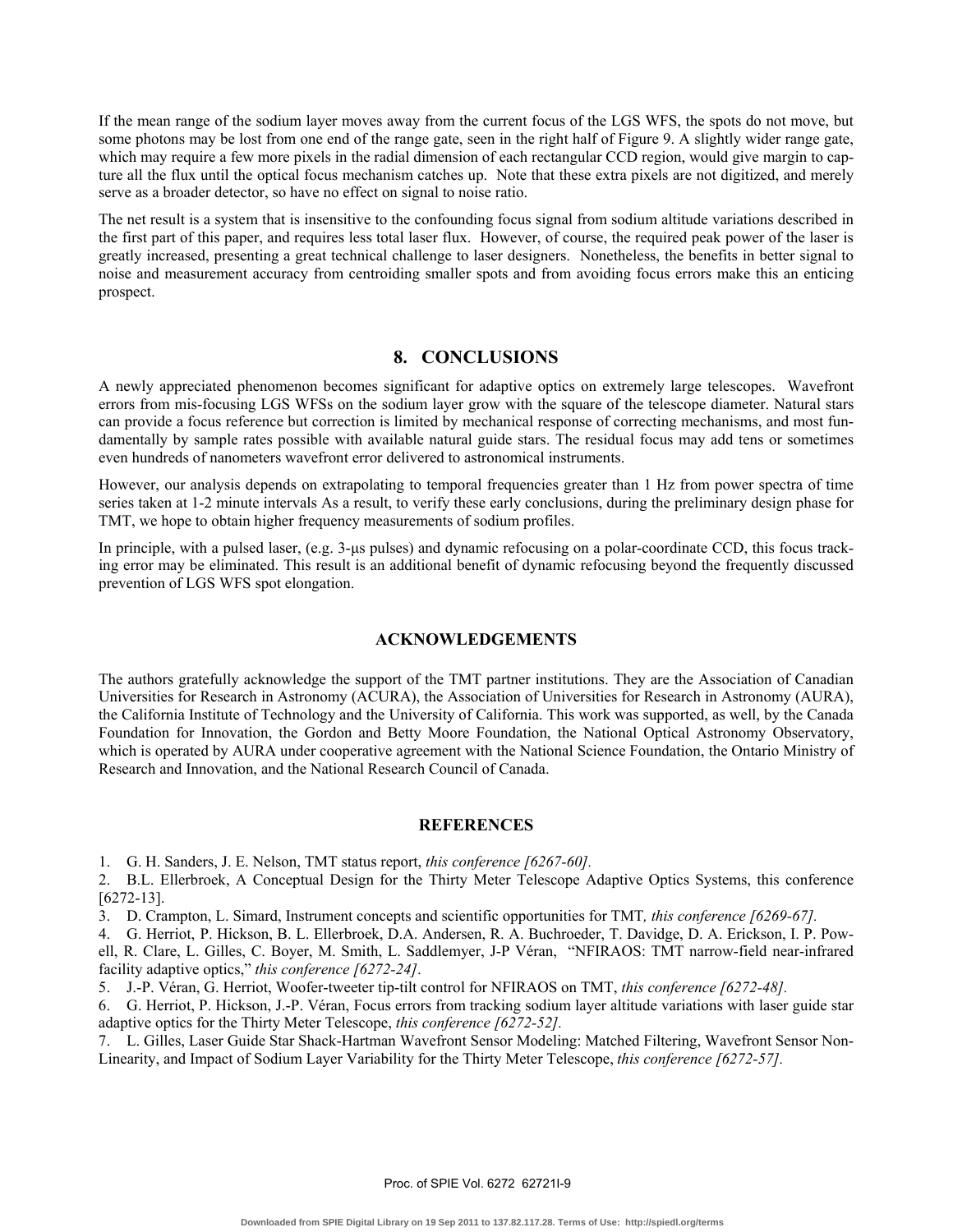If the mean range of the sodium layer moves away from the current focus of the LGS WFS, the spots do not move, but some photons may be lost from one end of the range gate, seen in the right half of Figure 9. A slightly wider range gate, which may require a few more pixels in the radial dimension of each rectangular CCD region, would give margin to capture all the flux until the optical focus mechanism catches up. Note that these extra pixels are not digitized, and merely serve as a broader detector, so have no effect on signal to noise ratio.

The net result is a system that is insensitive to the confounding focus signal from sodium altitude variations described in the first part of this paper, and requires less total laser flux. However, of course, the required peak power of the laser is greatly increased, presenting a great technical challenge to laser designers. Nonetheless, the benefits in better signal to noise and measurement accuracy from centroiding smaller spots and from avoiding focus errors make this an enticing prospect.

# **8. CONCLUSIONS**

A newly appreciated phenomenon becomes significant for adaptive optics on extremely large telescopes. Wavefront errors from mis-focusing LGS WFSs on the sodium layer grow with the square of the telescope diameter. Natural stars can provide a focus reference but correction is limited by mechanical response of correcting mechanisms, and most fundamentally by sample rates possible with available natural guide stars. The residual focus may add tens or sometimes even hundreds of nanometers wavefront error delivered to astronomical instruments.

However, our analysis depends on extrapolating to temporal frequencies greater than 1 Hz from power spectra of time series taken at 1-2 minute intervals As a result, to verify these early conclusions, during the preliminary design phase for TMT, we hope to obtain higher frequency measurements of sodium profiles.

In principle, with a pulsed laser, (e.g. 3-µs pulses) and dynamic refocusing on a polar-coordinate CCD, this focus tracking error may be eliminated. This result is an additional benefit of dynamic refocusing beyond the frequently discussed prevention of LGS WFS spot elongation.

### **ACKNOWLEDGEMENTS**

The authors gratefully acknowledge the support of the TMT partner institutions. They are the Association of Canadian Universities for Research in Astronomy (ACURA), the Association of Universities for Research in Astronomy (AURA), the California Institute of Technology and the University of California. This work was supported, as well, by the Canada Foundation for Innovation, the Gordon and Betty Moore Foundation, the National Optical Astronomy Observatory, which is operated by AURA under cooperative agreement with the National Science Foundation, the Ontario Ministry of Research and Innovation, and the National Research Council of Canada.

### **REFERENCES**

1. G. H. Sanders, J. E. Nelson, TMT status report, *this conference [6267-60].*

2. B.L. Ellerbroek, A Conceptual Design for the Thirty Meter Telescope Adaptive Optics Systems, this conference [6272-13].

3. D. Crampton, L. Simard, Instrument concepts and scientific opportunities for TMT*, this conference [6269-67].*

4. G. Herriot, P. Hickson, B. L. Ellerbroek, D.A. Andersen, R. A. Buchroeder, T. Davidge, D. A. Erickson, I. P. Powell, R. Clare, L. Gilles, C. Boyer, M. Smith, L. Saddlemyer, J-P Véran, "NFIRAOS: TMT narrow-field near-infrared facility adaptive optics," *this conference [6272-24]*.

5. J.-P. Véran, G. Herriot, Woofer-tweeter tip-tilt control for NFIRAOS on TMT, *this conference [6272-48].*

6. G. Herriot, P. Hickson, J.-P. Véran, Focus errors from tracking sodium layer altitude variations with laser guide star adaptive optics for the Thirty Meter Telescope, *this conference [6272-52].*

7. L. Gilles, Laser Guide Star Shack-Hartman Wavefront Sensor Modeling: Matched Filtering, Wavefront Sensor Non-Linearity, and Impact of Sodium Layer Variability for the Thirty Meter Telescope, *this conference [6272-57].*